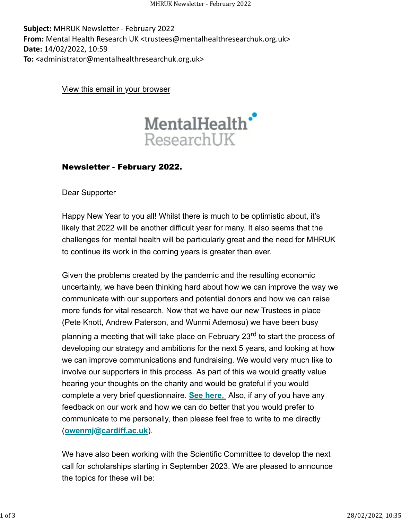Subject: MHRUK Newsletter - February 2022 **From:** Mental Health Research UK <trustees@mentalhealthresearchuk.org.uk> **Date:** 14/02/2022, 10:59 **To:** <administrator@mentalhealthresearchuk.org.uk>

[View this email in your browser](https://mailchi.mp/428c95511599/mhruk-newsletter-february-2022?e=653c95db77)



## Newsletter - February 2022.

Dear Supporter

Happy New Year to you all! Whilst there is much to be optimistic about, it's likely that 2022 will be another difficult year for many. It also seems that the challenges for mental health will be particularly great and the need for MHRUK to continue its work in the coming years is greater than ever.

Given the problems created by the pandemic and the resulting economic uncertainty, we have been thinking hard about how we can improve the way we communicate with our supporters and potential donors and how we can raise more funds for vital research. Now that we have our new Trustees in place (Pete Knott, Andrew Paterson, and Wunmi Ademosu) we have been busy planning a meeting that will take place on February 23<sup>rd</sup> to start the process of developing our strategy and ambitions for the next 5 years, and looking at how we can improve communications and fundraising. We would very much like to involve our supporters in this process. As part of this we would greatly value hearing your thoughts on the charity and would be grateful if you would complete a very brief questionnaire. **[See here.](https://mhruk.us3.list-manage.com/track/click?u=9f597992504bbc9467a09e2ad&id=63bc70d7e5&e=653c95db77)** Also, if any of you have any feedback on our work and how we can do better that you would prefer to communicate to me personally, then please feel free to write to me directly (**[owenmj@cardiff.ac.uk](mailto:owenmj@cardiff.ac.uk)**).

We have also been working with the Scientific Committee to develop the next call for scholarships starting in September 2023. We are pleased to announce the topics for these will be: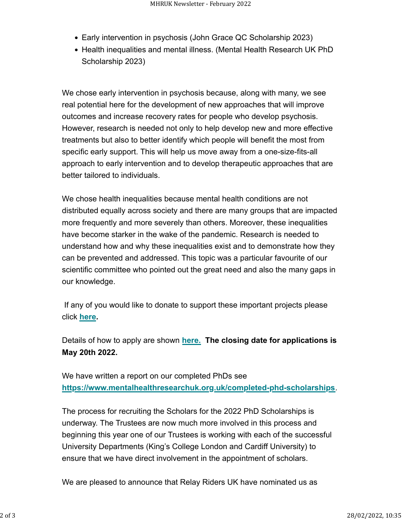- Early intervention in psychosis (John Grace QC Scholarship 2023)
- Health inequalities and mental illness. (Mental Health Research UK PhD Scholarship 2023)

We chose early intervention in psychosis because, along with many, we see real potential here for the development of new approaches that will improve outcomes and increase recovery rates for people who develop psychosis. However, research is needed not only to help develop new and more effective treatments but also to better identify which people will benefit the most from specific early support. This will help us move away from a one-size-fits-all approach to early intervention and to develop therapeutic approaches that are better tailored to individuals.

We chose health inequalities because mental health conditions are not distributed equally across society and there are many groups that are impacted more frequently and more severely than others. Moreover, these inequalities have become starker in the wake of the pandemic. Research is needed to understand how and why these inequalities exist and to demonstrate how they can be prevented and addressed. This topic was a particular favourite of our scientific committee who pointed out the great need and also the many gaps in our knowledge.

 If any of you would like to donate to support these important projects please click **[here.](https://mhruk.us3.list-manage.com/track/click?u=9f597992504bbc9467a09e2ad&id=7e7fcf3578&e=653c95db77)**

Details of how to apply are shown **[here.](https://mhruk.us3.list-manage.com/track/click?u=9f597992504bbc9467a09e2ad&id=4d6519967d&e=653c95db77) The closing date for applications is May 20th 2022.**

We have written a report on our completed PhDs see **[https://www.mentalhealthresearchuk.org.uk/completed-phd-scholarships](https://mhruk.us3.list-manage.com/track/click?u=9f597992504bbc9467a09e2ad&id=f418db6d6e&e=653c95db77)**.

The process for recruiting the Scholars for the 2022 PhD Scholarships is underway. The Trustees are now much more involved in this process and beginning this year one of our Trustees is working with each of the successful University Departments (King's College London and Cardiff University) to ensure that we have direct involvement in the appointment of scholars.

We are pleased to announce that Relay Riders UK have nominated us as